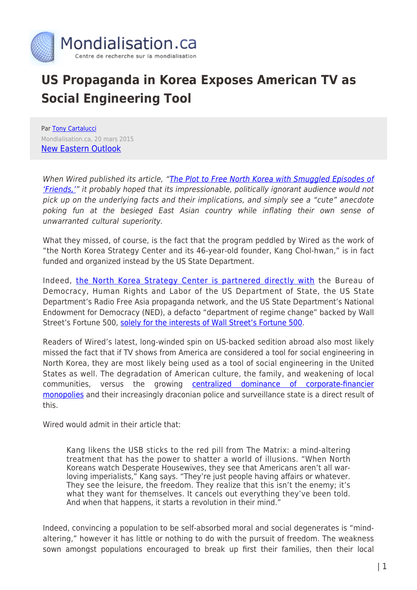

## **US Propaganda in Korea Exposes American TV as Social Engineering Tool**

Par [Tony Cartalucci](https://www.mondialisation.ca/author/tony-cartalucci) Mondialisation.ca, 20 mars 2015 [New Eastern Outlook](http://journal-neo.org/2015/03/20/us-propaganda-op-in-korea-exposes-american-tv-as-social-engineering-tool/)

When Wired published its article, ["The Plot to Free North Korea with Smuggled Episodes of](http://www.wired.com/2015/03/north-korea/?mbid=social_twitter) ['Friends,'](http://www.wired.com/2015/03/north-korea/?mbid=social_twitter)" it probably hoped that its impressionable, politically ignorant audience would not pick up on the underlying facts and their implications, and simply see a "cute" anecdote poking fun at the besieged East Asian country while inflating their own sense of unwarranted cultural superiority.

What they missed, of course, is the fact that the program peddled by Wired as the work of "the North Korea Strategy Center and its 46-year-old founder, Kang Chol-hwan," is in fact funded and organized instead by the US State Department.

Indeed, [the North Korea Strategy Center is partnered directly with](http://en.nksc.co.kr/partners/) the Bureau of Democracy, Human Rights and Labor of the US Department of State, the US State Department's Radio Free Asia propaganda network, and the US State Department's National Endowment for Democracy (NED), a defacto "department of regime change" backed by Wall Street's Fortune 500, [solely for the interests of Wall Street's Fortune 500.](http://landdestroyer.blogspot.com/2011/11/ned-freedom-house-are-run-by.html)

Readers of Wired's latest, long-winded spin on US-backed sedition abroad also most likely missed the fact that if TV shows from America are considered a tool for social engineering in North Korea, they are most likely being used as a tool of social engineering in the United States as well. The degradation of American culture, the family, and weakening of local communities, versus the growing [centralized dominance of corporate-financier](http://landdestroyer.blogspot.com/2011/03/naming-names-your-real-government.html) [monopolies](http://landdestroyer.blogspot.com/2011/03/naming-names-your-real-government.html) and their increasingly draconian police and surveillance state is a direct result of this.

Wired would admit in their article that:

Kang likens the USB sticks to the red pill from The Matrix: a mind-altering treatment that has the power to shatter a world of illusions. "When North Koreans watch Desperate Housewives, they see that Americans aren't all warloving imperialists," Kang says. "They're just people having affairs or whatever. They see the leisure, the freedom. They realize that this isn't the enemy; it's what they want for themselves. It cancels out everything they've been told. And when that happens, it starts a revolution in their mind."

Indeed, convincing a population to be self-absorbed moral and social degenerates is "mindaltering," however it has little or nothing to do with the pursuit of freedom. The weakness sown amongst populations encouraged to break up first their families, then their local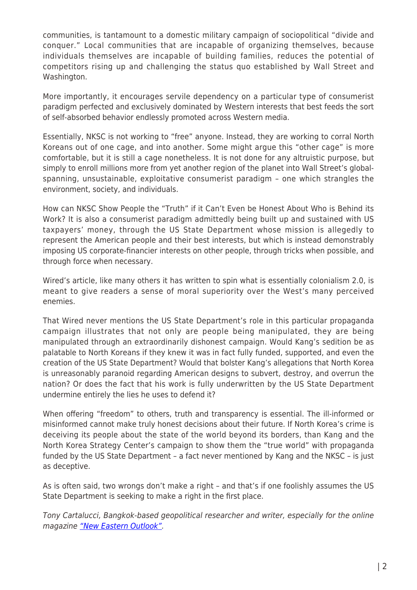communities, is tantamount to a domestic military campaign of sociopolitical "divide and conquer." Local communities that are incapable of organizing themselves, because individuals themselves are incapable of building families, reduces the potential of competitors rising up and challenging the status quo established by Wall Street and Washington.

More importantly, it encourages servile dependency on a particular type of consumerist paradigm perfected and exclusively dominated by Western interests that best feeds the sort of self-absorbed behavior endlessly promoted across Western media.

Essentially, NKSC is not working to "free" anyone. Instead, they are working to corral North Koreans out of one cage, and into another. Some might argue this "other cage" is more comfortable, but it is still a cage nonetheless. It is not done for any altruistic purpose, but simply to enroll millions more from yet another region of the planet into Wall Street's globalspanning, unsustainable, exploitative consumerist paradigm – one which strangles the environment, society, and individuals.

How can NKSC Show People the "Truth" if it Can't Even be Honest About Who is Behind its Work? It is also a consumerist paradigm admittedly being built up and sustained with US taxpayers' money, through the US State Department whose mission is allegedly to represent the American people and their best interests, but which is instead demonstrably imposing US corporate-financier interests on other people, through tricks when possible, and through force when necessary.

Wired's article, like many others it has written to spin what is essentially colonialism 2.0, is meant to give readers a sense of moral superiority over the West's many perceived enemies.

That Wired never mentions the US State Department's role in this particular propaganda campaign illustrates that not only are people being manipulated, they are being manipulated through an extraordinarily dishonest campaign. Would Kang's sedition be as palatable to North Koreans if they knew it was in fact fully funded, supported, and even the creation of the US State Department? Would that bolster Kang's allegations that North Korea is unreasonably paranoid regarding American designs to subvert, destroy, and overrun the nation? Or does the fact that his work is fully underwritten by the US State Department undermine entirely the lies he uses to defend it?

When offering "freedom" to others, truth and transparency is essential. The ill-informed or misinformed cannot make truly honest decisions about their future. If North Korea's crime is deceiving its people about the state of the world beyond its borders, than Kang and the North Korea Strategy Center's campaign to show them the "true world" with propaganda funded by the US State Department – a fact never mentioned by Kang and the NKSC – is just as deceptive.

As is often said, two wrongs don't make a right – and that's if one foolishly assumes the US State Department is seeking to make a right in the first place.

Tony Cartalucci, Bangkok-based geopolitical researcher and writer, especially for the online magazine ["New Eastern Outlook".](http://journal-neo.org/)